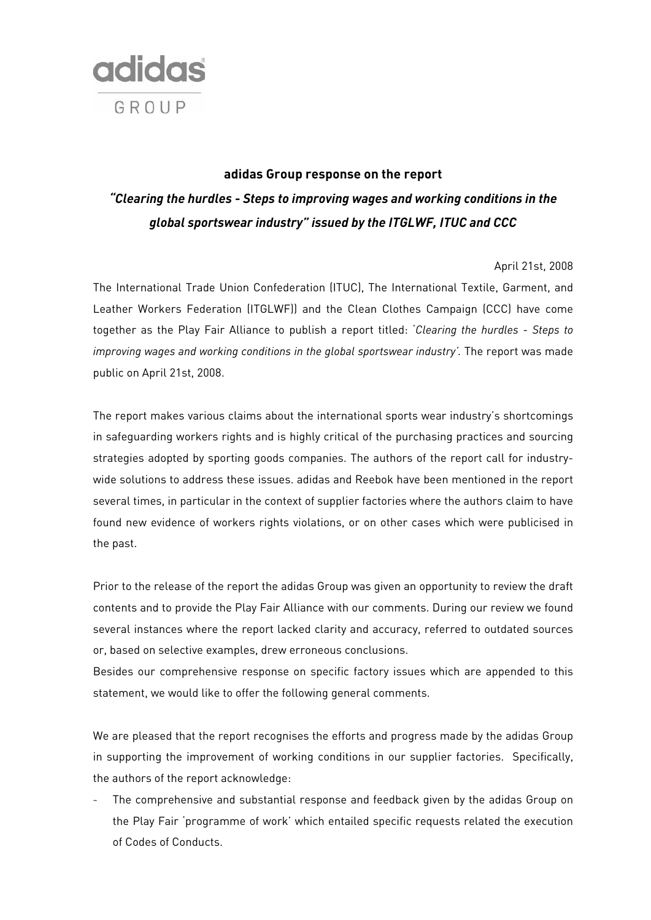

# **adidas Group response on the report**  *"Clearing the hurdles - Steps to improving wages and working conditions in the global sportswear industry" issued by the ITGLWF, ITUC and CCC*

### April 21st, 2008

The International Trade Union Confederation (ITUC), The International Textile, Garment, and Leather Workers Federation (ITGLWF)) and the Clean Clothes Campaign (CCC) have come together as the Play Fair Alliance to publish a report titled: '*Clearing the hurdles* - *Steps to*  improving wages and working conditions in the global sportswear industry'. The report was made public on April 21st, 2008.

The report makes various claims about the international sports wear industry's shortcomings in safeguarding workers rights and is highly critical of the purchasing practices and sourcing strategies adopted by sporting goods companies. The authors of the report call for industrywide solutions to address these issues. adidas and Reebok have been mentioned in the report several times, in particular in the context of supplier factories where the authors claim to have found new evidence of workers rights violations, or on other cases which were publicised in the past.

Prior to the release of the report the adidas Group was given an opportunity to review the draft contents and to provide the Play Fair Alliance with our comments. During our review we found several instances where the report lacked clarity and accuracy, referred to outdated sources or, based on selective examples, drew erroneous conclusions.

Besides our comprehensive response on specific factory issues which are appended to this statement, we would like to offer the following general comments.

We are pleased that the report recognises the efforts and progress made by the adidas Group in supporting the improvement of working conditions in our supplier factories. Specifically, the authors of the report acknowledge:

The comprehensive and substantial response and feedback given by the adidas Group on the Play Fair 'programme of work' which entailed specific requests related the execution of Codes of Conducts.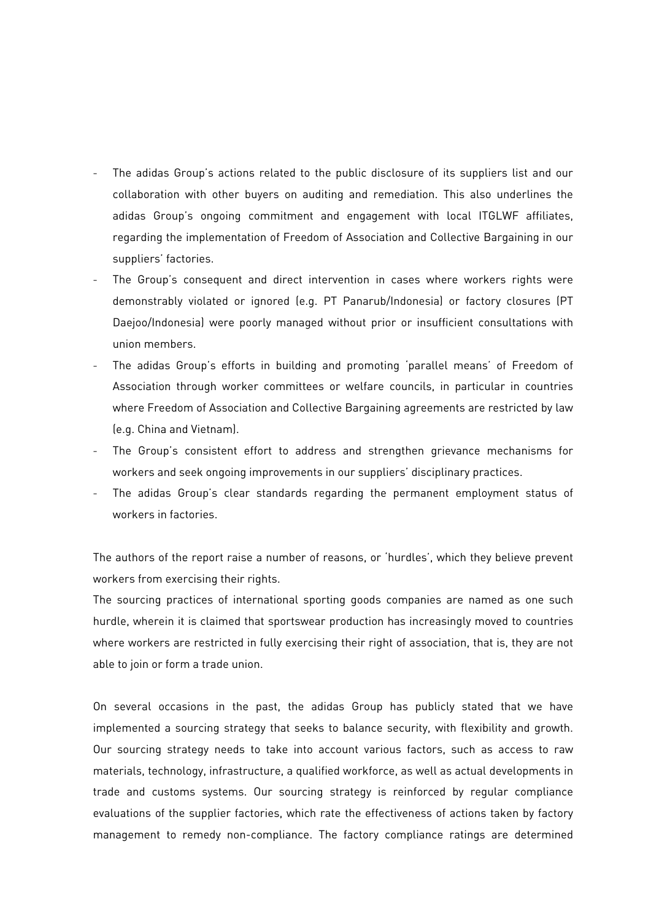- The adidas Group's actions related to the public disclosure of its suppliers list and our collaboration with other buyers on auditing and remediation. This also underlines the adidas Group's ongoing commitment and engagement with local ITGLWF affiliates, regarding the implementation of Freedom of Association and Collective Bargaining in our suppliers' factories.
- The Group's consequent and direct intervention in cases where workers rights were demonstrably violated or ignored (e.g. PT Panarub/Indonesia) or factory closures (PT Daejoo/Indonesia) were poorly managed without prior or insufficient consultations with union members.
- The adidas Group's efforts in building and promoting 'parallel means' of Freedom of Association through worker committees or welfare councils, in particular in countries where Freedom of Association and Collective Bargaining agreements are restricted by law (e.g. China and Vietnam).
- The Group's consistent effort to address and strengthen grievance mechanisms for workers and seek ongoing improvements in our suppliers' disciplinary practices.
- The adidas Group's clear standards regarding the permanent employment status of workers in factories.

The authors of the report raise a number of reasons, or 'hurdles', which they believe prevent workers from exercising their rights.

The sourcing practices of international sporting goods companies are named as one such hurdle, wherein it is claimed that sportswear production has increasingly moved to countries where workers are restricted in fully exercising their right of association, that is, they are not able to join or form a trade union.

On several occasions in the past, the adidas Group has publicly stated that we have implemented a sourcing strategy that seeks to balance security, with flexibility and growth. Our sourcing strategy needs to take into account various factors, such as access to raw materials, technology, infrastructure, a qualified workforce, as well as actual developments in trade and customs systems. Our sourcing strategy is reinforced by regular compliance evaluations of the supplier factories, which rate the effectiveness of actions taken by factory management to remedy non-compliance. The factory compliance ratings are determined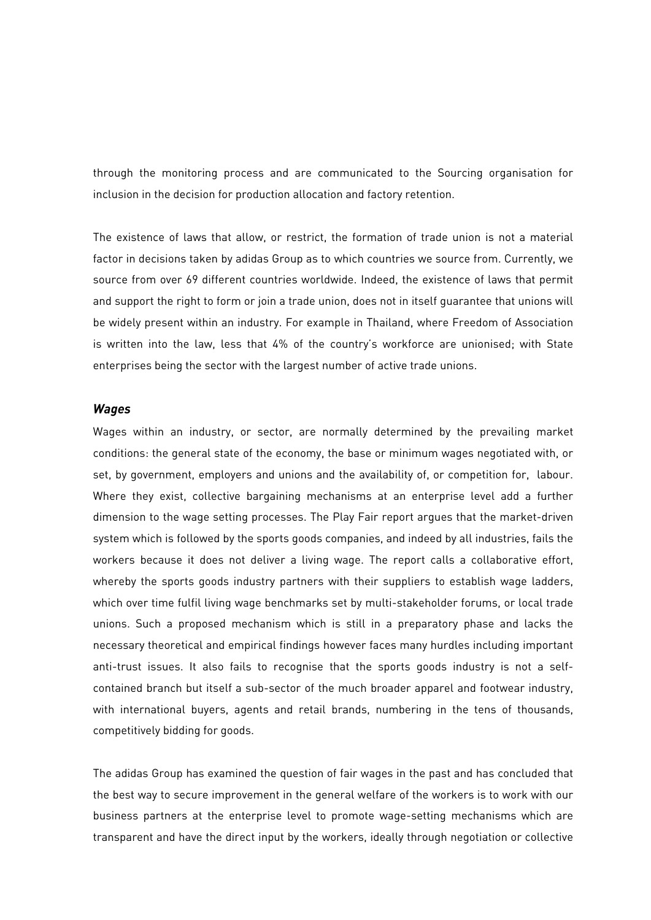through the monitoring process and are communicated to the Sourcing organisation for inclusion in the decision for production allocation and factory retention.

The existence of laws that allow, or restrict, the formation of trade union is not a material factor in decisions taken by adidas Group as to which countries we source from. Currently, we source from over 69 different countries worldwide. Indeed, the existence of laws that permit and support the right to form or join a trade union, does not in itself guarantee that unions will be widely present within an industry. For example in Thailand, where Freedom of Association is written into the law, less that 4% of the country's workforce are unionised; with State enterprises being the sector with the largest number of active trade unions.

### *Wages*

Wages within an industry, or sector, are normally determined by the prevailing market conditions: the general state of the economy, the base or minimum wages negotiated with, or set, by government, employers and unions and the availability of, or competition for, labour. Where they exist, collective bargaining mechanisms at an enterprise level add a further dimension to the wage setting processes. The Play Fair report argues that the market-driven system which is followed by the sports goods companies, and indeed by all industries, fails the workers because it does not deliver a living wage. The report calls a collaborative effort, whereby the sports goods industry partners with their suppliers to establish wage ladders, which over time fulfil living wage benchmarks set by multi-stakeholder forums, or local trade unions. Such a proposed mechanism which is still in a preparatory phase and lacks the necessary theoretical and empirical findings however faces many hurdles including important anti-trust issues. It also fails to recognise that the sports goods industry is not a selfcontained branch but itself a sub-sector of the much broader apparel and footwear industry, with international buyers, agents and retail brands, numbering in the tens of thousands, competitively bidding for goods.

The adidas Group has examined the question of fair wages in the past and has concluded that the best way to secure improvement in the general welfare of the workers is to work with our business partners at the enterprise level to promote wage-setting mechanisms which are transparent and have the direct input by the workers, ideally through negotiation or collective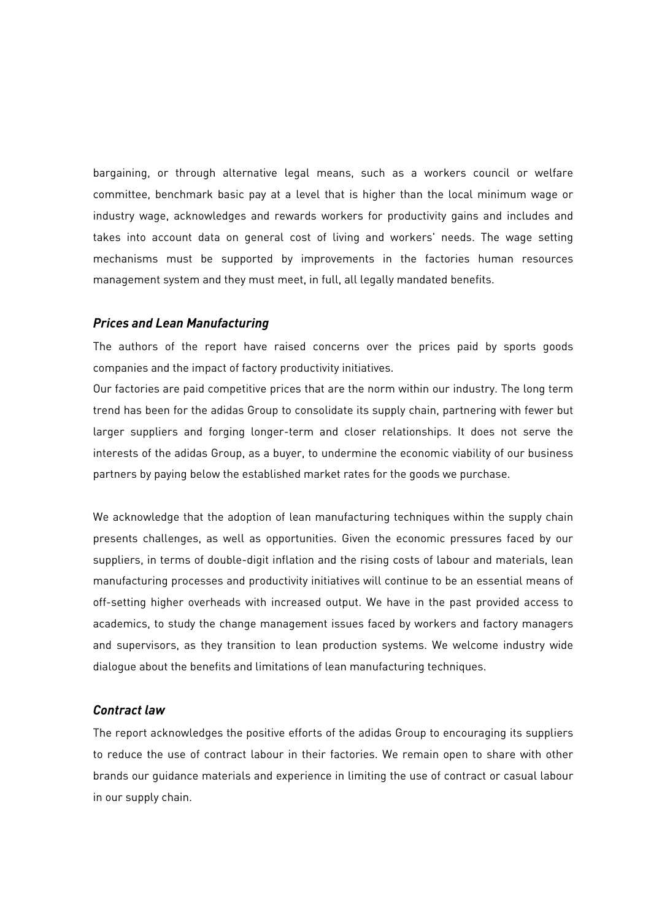bargaining, or through alternative legal means, such as a workers council or welfare committee, benchmark basic pay at a level that is higher than the local minimum wage or industry wage, acknowledges and rewards workers for productivity gains and includes and takes into account data on general cost of living and workers' needs. The wage setting mechanisms must be supported by improvements in the factories human resources management system and they must meet, in full, all legally mandated benefits.

#### *Prices and Lean Manufacturing*

The authors of the report have raised concerns over the prices paid by sports goods companies and the impact of factory productivity initiatives.

Our factories are paid competitive prices that are the norm within our industry. The long term trend has been for the adidas Group to consolidate its supply chain, partnering with fewer but larger suppliers and forging longer-term and closer relationships. It does not serve the interests of the adidas Group, as a buyer, to undermine the economic viability of our business partners by paying below the established market rates for the goods we purchase.

We acknowledge that the adoption of lean manufacturing techniques within the supply chain presents challenges, as well as opportunities. Given the economic pressures faced by our suppliers, in terms of double-digit inflation and the rising costs of labour and materials, lean manufacturing processes and productivity initiatives will continue to be an essential means of off-setting higher overheads with increased output. We have in the past provided access to academics, to study the change management issues faced by workers and factory managers and supervisors, as they transition to lean production systems. We welcome industry wide dialogue about the benefits and limitations of lean manufacturing techniques.

## *Contract law*

The report acknowledges the positive efforts of the adidas Group to encouraging its suppliers to reduce the use of contract labour in their factories. We remain open to share with other brands our guidance materials and experience in limiting the use of contract or casual labour in our supply chain.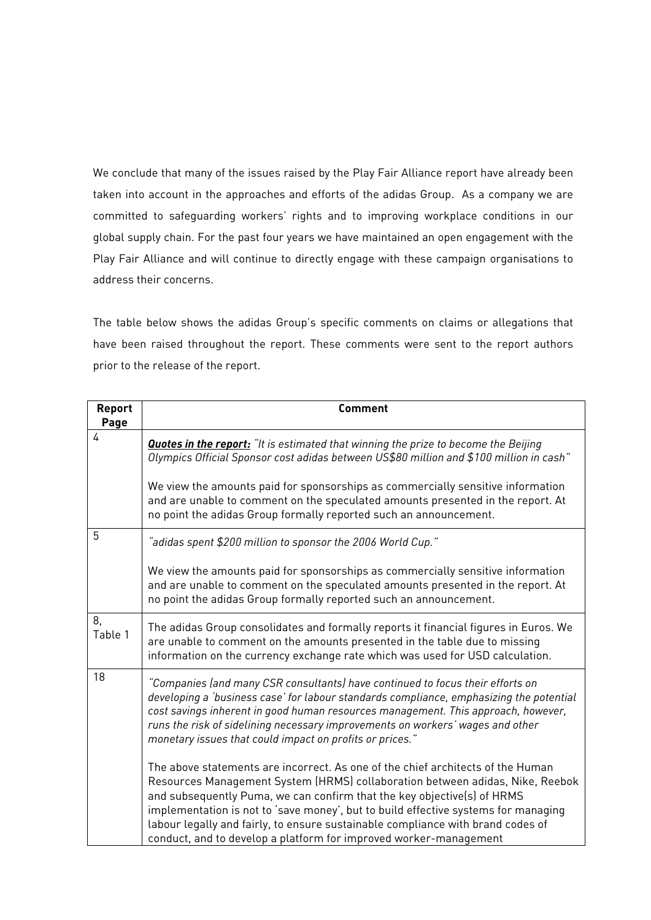We conclude that many of the issues raised by the Play Fair Alliance report have already been taken into account in the approaches and efforts of the adidas Group. As a company we are committed to safeguarding workers' rights and to improving workplace conditions in our global supply chain. For the past four years we have maintained an open engagement with the Play Fair Alliance and will continue to directly engage with these campaign organisations to address their concerns.

The table below shows the adidas Group's specific comments on claims or allegations that have been raised throughout the report. These comments were sent to the report authors prior to the release of the report.

| Report<br>Page | <b>Comment</b>                                                                                                                                                                                                                                                                                                                                                                                                                                                                            |
|----------------|-------------------------------------------------------------------------------------------------------------------------------------------------------------------------------------------------------------------------------------------------------------------------------------------------------------------------------------------------------------------------------------------------------------------------------------------------------------------------------------------|
| 4              | <b>Quotes in the report:</b> "It is estimated that winning the prize to become the Beijing<br>Olympics Official Sponsor cost adidas between US\$80 million and \$100 million in cash"                                                                                                                                                                                                                                                                                                     |
|                | We view the amounts paid for sponsorships as commercially sensitive information<br>and are unable to comment on the speculated amounts presented in the report. At<br>no point the adidas Group formally reported such an announcement.                                                                                                                                                                                                                                                   |
| 5              | "adidas spent \$200 million to sponsor the 2006 World Cup."                                                                                                                                                                                                                                                                                                                                                                                                                               |
|                | We view the amounts paid for sponsorships as commercially sensitive information<br>and are unable to comment on the speculated amounts presented in the report. At<br>no point the adidas Group formally reported such an announcement.                                                                                                                                                                                                                                                   |
| 8.<br>Table 1  | The adidas Group consolidates and formally reports it financial figures in Euros. We<br>are unable to comment on the amounts presented in the table due to missing<br>information on the currency exchange rate which was used for USD calculation.                                                                                                                                                                                                                                       |
| 18             | "Companies (and many CSR consultants) have continued to focus their efforts on<br>developing a 'business case' for labour standards compliance, emphasizing the potential<br>cost savings inherent in good human resources management. This approach, however,<br>runs the risk of sidelining necessary improvements on workers' wages and other<br>monetary issues that could impact on profits or prices."                                                                              |
|                | The above statements are incorrect. As one of the chief architects of the Human<br>Resources Management System (HRMS) collaboration between adidas, Nike, Reebok<br>and subsequently Puma, we can confirm that the key objective(s) of HRMS<br>implementation is not to 'save money', but to build effective systems for managing<br>labour legally and fairly, to ensure sustainable compliance with brand codes of<br>conduct, and to develop a platform for improved worker-management |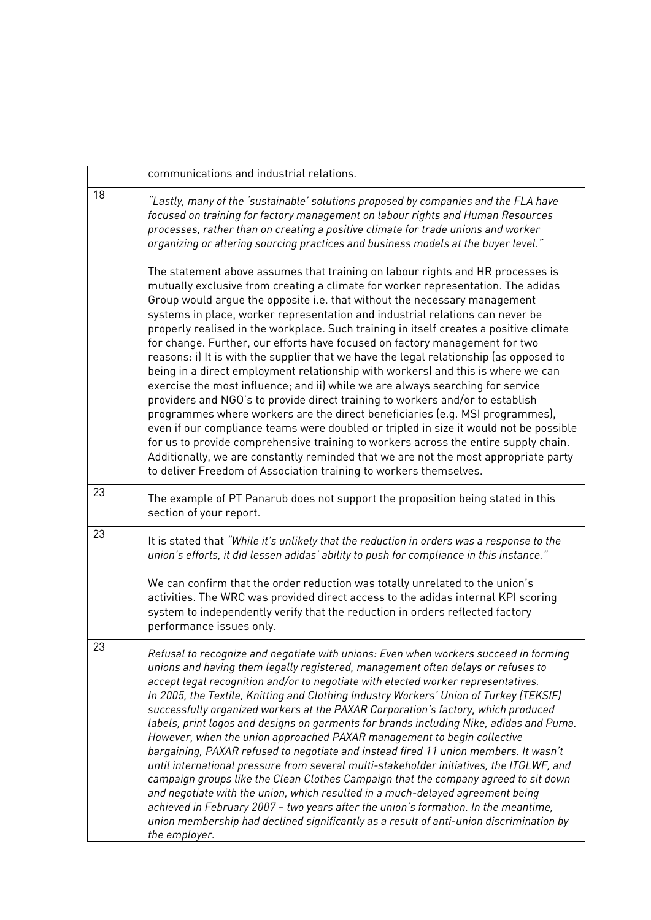|    | communications and industrial relations.                                                                                                                                                                                                                                                                                                                                                                                                                                                                                                                                                                                                                                                                                                                                                                                                                                                                                                                                                                                                                                                                                                                                                                                                                                               |
|----|----------------------------------------------------------------------------------------------------------------------------------------------------------------------------------------------------------------------------------------------------------------------------------------------------------------------------------------------------------------------------------------------------------------------------------------------------------------------------------------------------------------------------------------------------------------------------------------------------------------------------------------------------------------------------------------------------------------------------------------------------------------------------------------------------------------------------------------------------------------------------------------------------------------------------------------------------------------------------------------------------------------------------------------------------------------------------------------------------------------------------------------------------------------------------------------------------------------------------------------------------------------------------------------|
| 18 | "Lastly, many of the 'sustainable' solutions proposed by companies and the FLA have<br>focused on training for factory management on labour rights and Human Resources<br>processes, rather than on creating a positive climate for trade unions and worker<br>organizing or altering sourcing practices and business models at the buyer level."                                                                                                                                                                                                                                                                                                                                                                                                                                                                                                                                                                                                                                                                                                                                                                                                                                                                                                                                      |
|    | The statement above assumes that training on labour rights and HR processes is<br>mutually exclusive from creating a climate for worker representation. The adidas<br>Group would argue the opposite i.e. that without the necessary management<br>systems in place, worker representation and industrial relations can never be<br>properly realised in the workplace. Such training in itself creates a positive climate<br>for change. Further, our efforts have focused on factory management for two<br>reasons: i) It is with the supplier that we have the legal relationship (as opposed to<br>being in a direct employment relationship with workers) and this is where we can<br>exercise the most influence; and ii) while we are always searching for service<br>providers and NGO's to provide direct training to workers and/or to establish<br>programmes where workers are the direct beneficiaries (e.g. MSI programmes),<br>even if our compliance teams were doubled or tripled in size it would not be possible<br>for us to provide comprehensive training to workers across the entire supply chain.<br>Additionally, we are constantly reminded that we are not the most appropriate party<br>to deliver Freedom of Association training to workers themselves. |
| 23 | The example of PT Panarub does not support the proposition being stated in this<br>section of your report.                                                                                                                                                                                                                                                                                                                                                                                                                                                                                                                                                                                                                                                                                                                                                                                                                                                                                                                                                                                                                                                                                                                                                                             |
| 23 | It is stated that "While it's unlikely that the reduction in orders was a response to the<br>union's efforts, it did lessen adidas' ability to push for compliance in this instance."                                                                                                                                                                                                                                                                                                                                                                                                                                                                                                                                                                                                                                                                                                                                                                                                                                                                                                                                                                                                                                                                                                  |
|    | We can confirm that the order reduction was totally unrelated to the union's<br>activities. The WRC was provided direct access to the adidas internal KPI scoring<br>system to independently verify that the reduction in orders reflected factory<br>performance issues only.                                                                                                                                                                                                                                                                                                                                                                                                                                                                                                                                                                                                                                                                                                                                                                                                                                                                                                                                                                                                         |
| 23 | Refusal to recognize and negotiate with unions: Even when workers succeed in forming<br>unions and having them legally registered, management often delays or refuses to<br>accept legal recognition and/or to negotiate with elected worker representatives.<br>In 2005, the Textile, Knitting and Clothing Industry Workers' Union of Turkey (TEKSIF)<br>successfully organized workers at the PAXAR Corporation's factory, which produced<br>labels, print logos and designs on garments for brands including Nike, adidas and Puma.<br>However, when the union approached PAXAR management to begin collective<br>bargaining, PAXAR refused to negotiate and instead fired 11 union members. It wasn't<br>until international pressure from several multi-stakeholder initiatives, the ITGLWF, and<br>campaign groups like the Clean Clothes Campaign that the company agreed to sit down<br>and negotiate with the union, which resulted in a much-delayed agreement being<br>achieved in February 2007 - two years after the union's formation. In the meantime,<br>union membership had declined significantly as a result of anti-union discrimination by<br>the employer.                                                                                                     |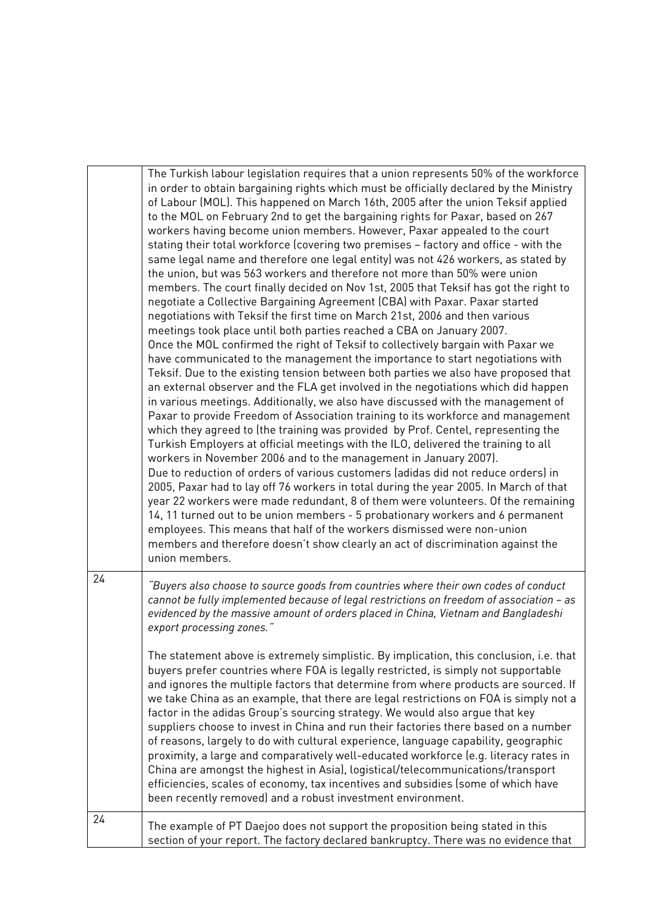|    | The Turkish labour legislation requires that a union represents 50% of the workforce<br>in order to obtain bargaining rights which must be officially declared by the Ministry<br>of Labour (MOL). This happened on March 16th, 2005 after the union Teksif applied<br>to the MOL on February 2nd to get the bargaining rights for Paxar, based on 267<br>workers having become union members. However, Paxar appealed to the court<br>stating their total workforce (covering two premises - factory and office - with the<br>same legal name and therefore one legal entity) was not 426 workers, as stated by<br>the union, but was 563 workers and therefore not more than 50% were union<br>members. The court finally decided on Nov 1st, 2005 that Teksif has got the right to<br>negotiate a Collective Bargaining Agreement (CBA) with Paxar. Paxar started<br>negotiations with Teksif the first time on March 21st, 2006 and then various<br>meetings took place until both parties reached a CBA on January 2007.<br>Once the MOL confirmed the right of Teksif to collectively bargain with Paxar we<br>have communicated to the management the importance to start negotiations with<br>Teksif. Due to the existing tension between both parties we also have proposed that<br>an external observer and the FLA get involved in the negotiations which did happen<br>in various meetings. Additionally, we also have discussed with the management of<br>Paxar to provide Freedom of Association training to its workforce and management<br>which they agreed to (the training was provided by Prof. Centel, representing the<br>Turkish Employers at official meetings with the ILO, delivered the training to all<br>workers in November 2006 and to the management in January 2007).<br>Due to reduction of orders of various customers (adidas did not reduce orders) in<br>2005, Paxar had to lay off 76 workers in total during the year 2005. In March of that<br>year 22 workers were made redundant, 8 of them were volunteers. Of the remaining<br>14, 11 turned out to be union members - 5 probationary workers and 6 permanent<br>employees. This means that half of the workers dismissed were non-union<br>members and therefore doesn't show clearly an act of discrimination against the<br>union members. |
|----|--------------------------------------------------------------------------------------------------------------------------------------------------------------------------------------------------------------------------------------------------------------------------------------------------------------------------------------------------------------------------------------------------------------------------------------------------------------------------------------------------------------------------------------------------------------------------------------------------------------------------------------------------------------------------------------------------------------------------------------------------------------------------------------------------------------------------------------------------------------------------------------------------------------------------------------------------------------------------------------------------------------------------------------------------------------------------------------------------------------------------------------------------------------------------------------------------------------------------------------------------------------------------------------------------------------------------------------------------------------------------------------------------------------------------------------------------------------------------------------------------------------------------------------------------------------------------------------------------------------------------------------------------------------------------------------------------------------------------------------------------------------------------------------------------------------------------------------------------------------------------------------------------------------------------------------------------------------------------------------------------------------------------------------------------------------------------------------------------------------------------------------------------------------------------------------------------------------------------------------------------------------------------------------------------------------------------------------------|
| 24 | "Buyers also choose to source goods from countries where their own codes of conduct<br>cannot be fully implemented because of legal restrictions on freedom of association - as<br>evidenced by the massive amount of orders placed in China, Vietnam and Bangladeshi<br>export processing zones."                                                                                                                                                                                                                                                                                                                                                                                                                                                                                                                                                                                                                                                                                                                                                                                                                                                                                                                                                                                                                                                                                                                                                                                                                                                                                                                                                                                                                                                                                                                                                                                                                                                                                                                                                                                                                                                                                                                                                                                                                                         |
|    | The statement above is extremely simplistic. By implication, this conclusion, i.e. that<br>buyers prefer countries where FOA is legally restricted, is simply not supportable<br>and ignores the multiple factors that determine from where products are sourced. If<br>we take China as an example, that there are legal restrictions on FOA is simply not a<br>factor in the adidas Group's sourcing strategy. We would also argue that key<br>suppliers choose to invest in China and run their factories there based on a number<br>of reasons, largely to do with cultural experience, language capability, geographic<br>proximity, a large and comparatively well-educated workforce (e.g. literacy rates in<br>China are amongst the highest in Asia), logistical/telecommunications/transport<br>efficiencies, scales of economy, tax incentives and subsidies (some of which have<br>been recently removed) and a robust investment environment.                                                                                                                                                                                                                                                                                                                                                                                                                                                                                                                                                                                                                                                                                                                                                                                                                                                                                                                                                                                                                                                                                                                                                                                                                                                                                                                                                                                 |
| 24 | The example of PT Daejoo does not support the proposition being stated in this<br>section of your report. The factory declared bankruptcy. There was no evidence that                                                                                                                                                                                                                                                                                                                                                                                                                                                                                                                                                                                                                                                                                                                                                                                                                                                                                                                                                                                                                                                                                                                                                                                                                                                                                                                                                                                                                                                                                                                                                                                                                                                                                                                                                                                                                                                                                                                                                                                                                                                                                                                                                                      |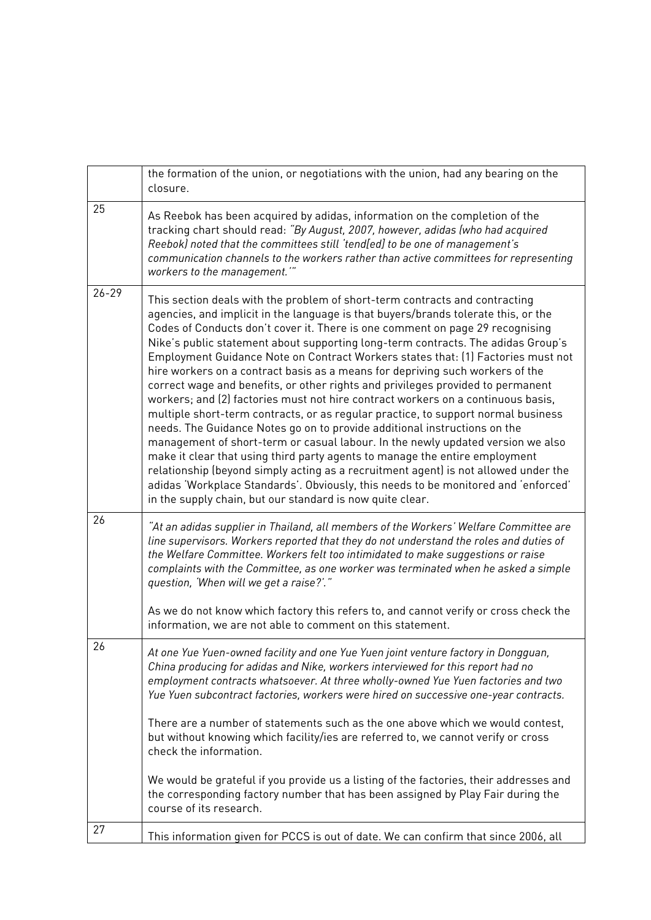|           | the formation of the union, or negotiations with the union, had any bearing on the<br>closure.                                                                                                                                                                                                                                                                                                                                                                                                                                                                                                                                                                                                                                                                                                                                                                                                                                                                                                                                                                                                                                                                                                                                                                   |
|-----------|------------------------------------------------------------------------------------------------------------------------------------------------------------------------------------------------------------------------------------------------------------------------------------------------------------------------------------------------------------------------------------------------------------------------------------------------------------------------------------------------------------------------------------------------------------------------------------------------------------------------------------------------------------------------------------------------------------------------------------------------------------------------------------------------------------------------------------------------------------------------------------------------------------------------------------------------------------------------------------------------------------------------------------------------------------------------------------------------------------------------------------------------------------------------------------------------------------------------------------------------------------------|
| 25        | As Reebok has been acquired by adidas, information on the completion of the<br>tracking chart should read: "By August, 2007, however, adidas (who had acquired<br>Reebok) noted that the committees still 'tend[ed] to be one of management's<br>communication channels to the workers rather than active committees for representing<br>workers to the management.""                                                                                                                                                                                                                                                                                                                                                                                                                                                                                                                                                                                                                                                                                                                                                                                                                                                                                            |
| $26 - 29$ | This section deals with the problem of short-term contracts and contracting<br>agencies, and implicit in the language is that buyers/brands tolerate this, or the<br>Codes of Conducts don't cover it. There is one comment on page 29 recognising<br>Nike's public statement about supporting long-term contracts. The adidas Group's<br>Employment Guidance Note on Contract Workers states that: [1] Factories must not<br>hire workers on a contract basis as a means for depriving such workers of the<br>correct wage and benefits, or other rights and privileges provided to permanent<br>workers; and (2) factories must not hire contract workers on a continuous basis,<br>multiple short-term contracts, or as regular practice, to support normal business<br>needs. The Guidance Notes go on to provide additional instructions on the<br>management of short-term or casual labour. In the newly updated version we also<br>make it clear that using third party agents to manage the entire employment<br>relationship (beyond simply acting as a recruitment agent) is not allowed under the<br>adidas 'Workplace Standards'. Obviously, this needs to be monitored and 'enforced'<br>in the supply chain, but our standard is now quite clear. |
| 26        | "At an adidas supplier in Thailand, all members of the Workers' Welfare Committee are<br>line supervisors. Workers reported that they do not understand the roles and duties of<br>the Welfare Committee. Workers felt too intimidated to make suggestions or raise<br>complaints with the Committee, as one worker was terminated when he asked a simple<br>question, 'When will we get a raise?'."                                                                                                                                                                                                                                                                                                                                                                                                                                                                                                                                                                                                                                                                                                                                                                                                                                                             |
|           | As we do not know which factory this refers to, and cannot verify or cross check the<br>information, we are not able to comment on this statement.                                                                                                                                                                                                                                                                                                                                                                                                                                                                                                                                                                                                                                                                                                                                                                                                                                                                                                                                                                                                                                                                                                               |
| 26        | At one Yue Yuen-owned facility and one Yue Yuen joint venture factory in Dongguan,<br>China producing for adidas and Nike, workers interviewed for this report had no<br>employment contracts whatsoever. At three wholly-owned Yue Yuen factories and two<br>Yue Yuen subcontract factories, workers were hired on successive one-year contracts.<br>There are a number of statements such as the one above which we would contest,                                                                                                                                                                                                                                                                                                                                                                                                                                                                                                                                                                                                                                                                                                                                                                                                                             |
|           | but without knowing which facility/ies are referred to, we cannot verify or cross<br>check the information.                                                                                                                                                                                                                                                                                                                                                                                                                                                                                                                                                                                                                                                                                                                                                                                                                                                                                                                                                                                                                                                                                                                                                      |
|           | We would be grateful if you provide us a listing of the factories, their addresses and<br>the corresponding factory number that has been assigned by Play Fair during the<br>course of its research.                                                                                                                                                                                                                                                                                                                                                                                                                                                                                                                                                                                                                                                                                                                                                                                                                                                                                                                                                                                                                                                             |
| 27        | This information given for PCCS is out of date. We can confirm that since 2006, all                                                                                                                                                                                                                                                                                                                                                                                                                                                                                                                                                                                                                                                                                                                                                                                                                                                                                                                                                                                                                                                                                                                                                                              |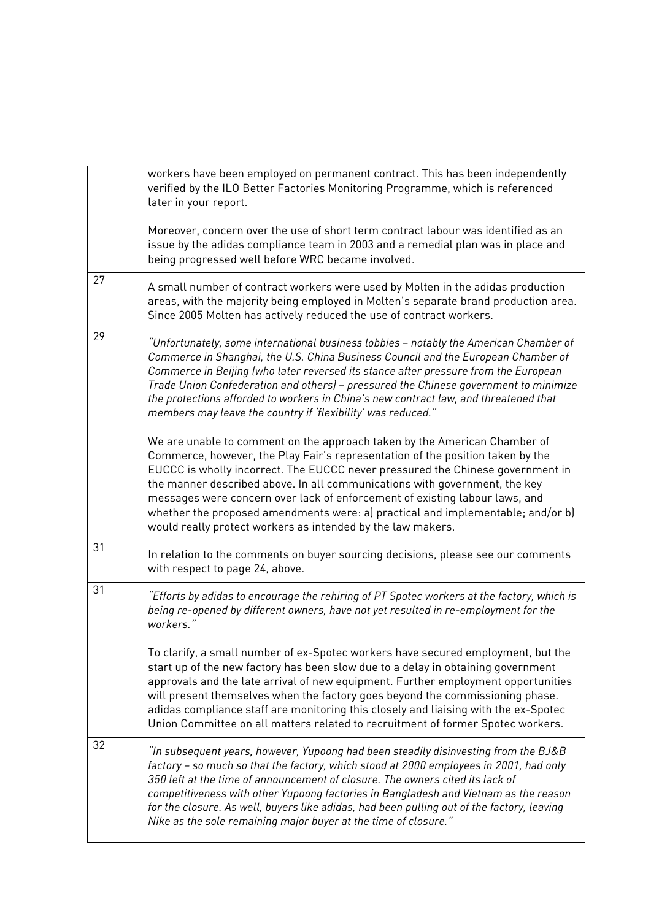|    | workers have been employed on permanent contract. This has been independently<br>verified by the ILO Better Factories Monitoring Programme, which is referenced<br>later in your report.                                                                                                                                                                                                                                                                                                                                                                     |
|----|--------------------------------------------------------------------------------------------------------------------------------------------------------------------------------------------------------------------------------------------------------------------------------------------------------------------------------------------------------------------------------------------------------------------------------------------------------------------------------------------------------------------------------------------------------------|
|    | Moreover, concern over the use of short term contract labour was identified as an<br>issue by the adidas compliance team in 2003 and a remedial plan was in place and<br>being progressed well before WRC became involved.                                                                                                                                                                                                                                                                                                                                   |
| 27 | A small number of contract workers were used by Molten in the adidas production<br>areas, with the majority being employed in Molten's separate brand production area.<br>Since 2005 Molten has actively reduced the use of contract workers.                                                                                                                                                                                                                                                                                                                |
| 29 | "Unfortunately, some international business lobbies – notably the American Chamber of<br>Commerce in Shanghai, the U.S. China Business Council and the European Chamber of<br>Commerce in Beijing (who later reversed its stance after pressure from the European<br>Trade Union Confederation and others) - pressured the Chinese government to minimize<br>the protections afforded to workers in China's new contract law, and threatened that<br>members may leave the country if 'flexibility' was reduced."                                            |
|    | We are unable to comment on the approach taken by the American Chamber of<br>Commerce, however, the Play Fair's representation of the position taken by the<br>EUCCC is wholly incorrect. The EUCCC never pressured the Chinese government in<br>the manner described above. In all communications with government, the key<br>messages were concern over lack of enforcement of existing labour laws, and<br>whether the proposed amendments were: a) practical and implementable; and/or b)<br>would really protect workers as intended by the law makers. |
| 31 | In relation to the comments on buyer sourcing decisions, please see our comments<br>with respect to page 24, above.                                                                                                                                                                                                                                                                                                                                                                                                                                          |
| 31 | "Efforts by adidas to encourage the rehiring of PT Spotec workers at the factory, which is<br>being re-opened by different owners, have not yet resulted in re-employment for the<br>workers."                                                                                                                                                                                                                                                                                                                                                               |
|    | To clarify, a small number of ex-Spotec workers have secured employment, but the<br>start up of the new factory has been slow due to a delay in obtaining government<br>approvals and the late arrival of new equipment. Further employment opportunities<br>will present themselves when the factory goes beyond the commissioning phase.<br>adidas compliance staff are monitoring this closely and liaising with the ex-Spotec<br>Union Committee on all matters related to recruitment of former Spotec workers.                                         |
| 32 | "In subsequent years, however, Yupoong had been steadily disinvesting from the BJ&B<br>factory - so much so that the factory, which stood at 2000 employees in 2001, had only<br>350 left at the time of announcement of closure. The owners cited its lack of<br>competitiveness with other Yupoong factories in Bangladesh and Vietnam as the reason<br>for the closure. As well, buyers like adidas, had been pulling out of the factory, leaving<br>Nike as the sole remaining major buyer at the time of closure."                                      |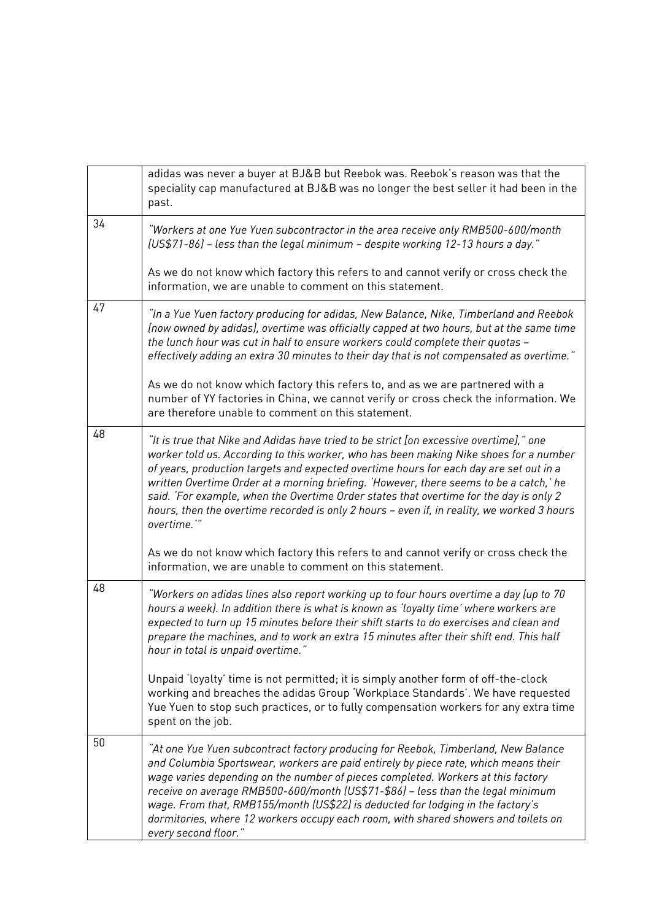|    | adidas was never a buyer at BJ&B but Reebok was. Reebok's reason was that the<br>speciality cap manufactured at BJ&B was no longer the best seller it had been in the<br>past.                                                                                                                                                                                                                                                                                                                                                                                             |
|----|----------------------------------------------------------------------------------------------------------------------------------------------------------------------------------------------------------------------------------------------------------------------------------------------------------------------------------------------------------------------------------------------------------------------------------------------------------------------------------------------------------------------------------------------------------------------------|
| 34 | "Workers at one Yue Yuen subcontractor in the area receive only RMB500-600/month<br>(US\$71-86) - less than the legal minimum - despite working 12-13 hours a day."                                                                                                                                                                                                                                                                                                                                                                                                        |
|    | As we do not know which factory this refers to and cannot verify or cross check the<br>information, we are unable to comment on this statement.                                                                                                                                                                                                                                                                                                                                                                                                                            |
| 47 | "In a Yue Yuen factory producing for adidas, New Balance, Nike, Timberland and Reebok<br>(now owned by adidas), overtime was officially capped at two hours, but at the same time<br>the lunch hour was cut in half to ensure workers could complete their quotas -<br>effectively adding an extra 30 minutes to their day that is not compensated as overtime."                                                                                                                                                                                                           |
|    | As we do not know which factory this refers to, and as we are partnered with a<br>number of YY factories in China, we cannot verify or cross check the information. We<br>are therefore unable to comment on this statement.                                                                                                                                                                                                                                                                                                                                               |
| 48 | "It is true that Nike and Adidas have tried to be strict [on excessive overtime]," one<br>worker told us. According to this worker, who has been making Nike shoes for a number<br>of years, production targets and expected overtime hours for each day are set out in a<br>written Overtime Order at a morning briefing. 'However, there seems to be a catch,' he<br>said. 'For example, when the Overtime Order states that overtime for the day is only 2<br>hours, then the overtime recorded is only 2 hours - even if, in reality, we worked 3 hours<br>overtime."" |
|    | As we do not know which factory this refers to and cannot verify or cross check the<br>information, we are unable to comment on this statement.                                                                                                                                                                                                                                                                                                                                                                                                                            |
| 48 | "Workers on adidas lines also report working up to four hours overtime a day (up to 70<br>hours a week). In addition there is what is known as 'loyalty time' where workers are<br>expected to turn up 15 minutes before their shift starts to do exercises and clean and<br>prepare the machines, and to work an extra 15 minutes after their shift end. This half<br>hour in total is unpaid overtime."<br>Unpaid 'loyalty' time is not permitted; it is simply another form of off-the-clock                                                                            |
|    | working and breaches the adidas Group 'Workplace Standards'. We have requested<br>Yue Yuen to stop such practices, or to fully compensation workers for any extra time<br>spent on the job.                                                                                                                                                                                                                                                                                                                                                                                |
| 50 | "At one Yue Yuen subcontract factory producing for Reebok, Timberland, New Balance<br>and Columbia Sportswear, workers are paid entirely by piece rate, which means their<br>wage varies depending on the number of pieces completed. Workers at this factory<br>receive on average RMB500-600/month (US\$71-\$86) - less than the legal minimum<br>wage. From that, RMB155/month (US\$22) is deducted for lodging in the factory's<br>dormitories, where 12 workers occupy each room, with shared showers and toilets on<br>every second floor."                          |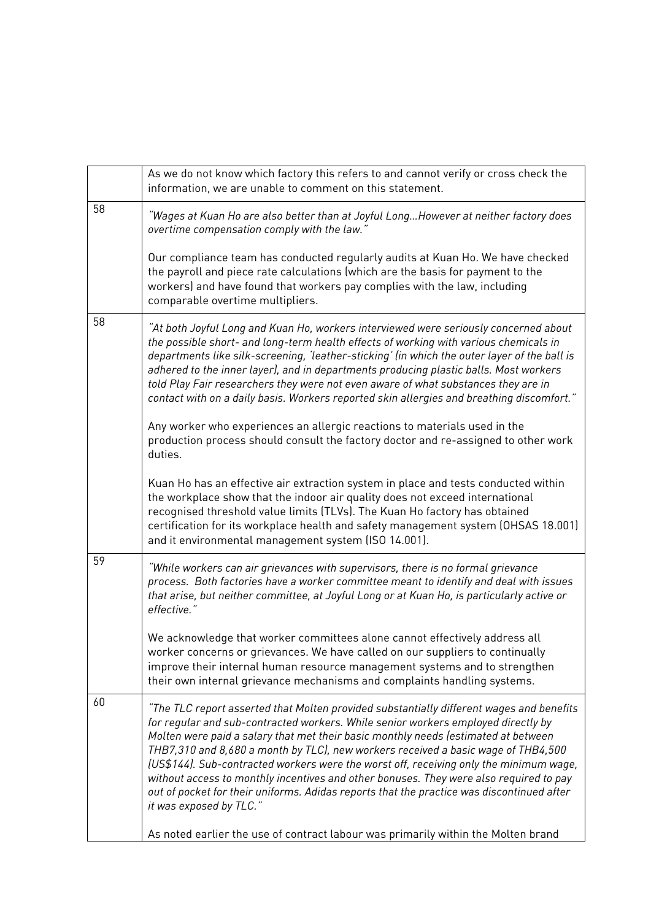|    | As we do not know which factory this refers to and cannot verify or cross check the<br>information, we are unable to comment on this statement.                                                                                                                                                                                                                                                                                                                                                                                                                                                                                                                      |
|----|----------------------------------------------------------------------------------------------------------------------------------------------------------------------------------------------------------------------------------------------------------------------------------------------------------------------------------------------------------------------------------------------------------------------------------------------------------------------------------------------------------------------------------------------------------------------------------------------------------------------------------------------------------------------|
| 58 | "Wages at Kuan Ho are also better than at Joyful Long…However at neither factory does<br>overtime compensation comply with the law."                                                                                                                                                                                                                                                                                                                                                                                                                                                                                                                                 |
|    | Our compliance team has conducted regularly audits at Kuan Ho. We have checked<br>the payroll and piece rate calculations (which are the basis for payment to the<br>workers) and have found that workers pay complies with the law, including<br>comparable overtime multipliers.                                                                                                                                                                                                                                                                                                                                                                                   |
| 58 | "At both Joyful Long and Kuan Ho, workers interviewed were seriously concerned about<br>the possible short- and long-term health effects of working with various chemicals in<br>departments like silk-screening, 'leather-sticking' (in which the outer layer of the ball is<br>adhered to the inner layer), and in departments producing plastic balls. Most workers<br>told Play Fair researchers they were not even aware of what substances they are in<br>contact with on a daily basis. Workers reported skin allergies and breathing discomfort."                                                                                                            |
|    | Any worker who experiences an allergic reactions to materials used in the<br>production process should consult the factory doctor and re-assigned to other work<br>duties.                                                                                                                                                                                                                                                                                                                                                                                                                                                                                           |
|    | Kuan Ho has an effective air extraction system in place and tests conducted within<br>the workplace show that the indoor air quality does not exceed international<br>recognised threshold value limits (TLVs). The Kuan Ho factory has obtained<br>certification for its workplace health and safety management system (OHSAS 18.001)<br>and it environmental management system (ISO 14.001).                                                                                                                                                                                                                                                                       |
| 59 | "While workers can air grievances with supervisors, there is no formal grievance<br>process. Both factories have a worker committee meant to identify and deal with issues<br>that arise, but neither committee, at Joyful Long or at Kuan Ho, is particularly active or<br>effective."                                                                                                                                                                                                                                                                                                                                                                              |
|    | We acknowledge that worker committees alone cannot effectively address all<br>worker concerns or grievances. We have called on our suppliers to continually<br>improve their internal human resource management systems and to strengthen<br>their own internal grievance mechanisms and complaints handling systems.                                                                                                                                                                                                                                                                                                                                                |
| 60 | "The TLC report asserted that Molten provided substantially different wages and benefits<br>for regular and sub-contracted workers. While senior workers employed directly by<br>Molten were paid a salary that met their basic monthly needs (estimated at between<br>THB7,310 and 8,680 a month by TLC), new workers received a basic wage of THB4,500<br>(US\$144). Sub-contracted workers were the worst off, receiving only the minimum wage,<br>without access to monthly incentives and other bonuses. They were also required to pay<br>out of pocket for their uniforms. Adidas reports that the practice was discontinued after<br>it was exposed by TLC." |
|    | As noted earlier the use of contract labour was primarily within the Molten brand                                                                                                                                                                                                                                                                                                                                                                                                                                                                                                                                                                                    |